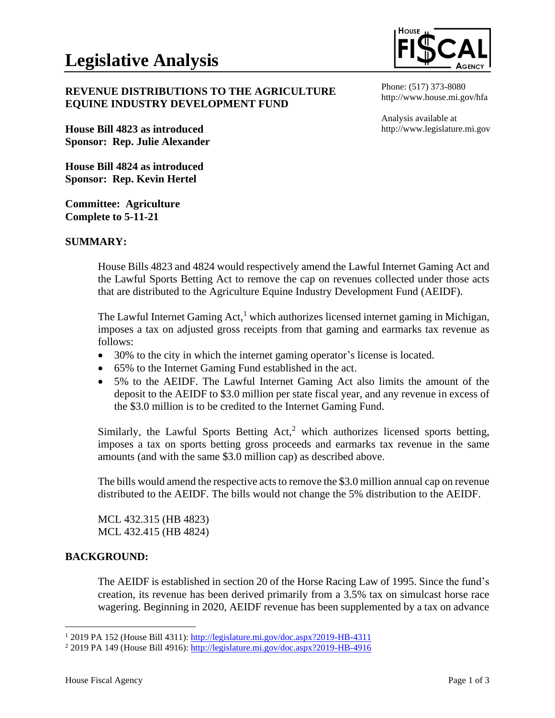

Phone: (517) 373-8080 http://www.house.mi.gov/hfa

Analysis available at

http://www.legislature.mi.gov

## **REVENUE DISTRIBUTIONS TO THE AGRICULTURE EQUINE INDUSTRY DEVELOPMENT FUND**

**House Bill 4823 as introduced Sponsor: Rep. Julie Alexander**

**House Bill 4824 as introduced Sponsor: Rep. Kevin Hertel**

**Committee: Agriculture Complete to 5-11-21**

## **SUMMARY:**

House Bills 4823 and 4824 would respectively amend the Lawful Internet Gaming Act and the Lawful Sports Betting Act to remove the cap on revenues collected under those acts that are distributed to the Agriculture Equine Industry Development Fund (AEIDF).

The Lawful Internet Gaming Act,<sup>1</sup> which authorizes licensed internet gaming in Michigan, imposes a tax on adjusted gross receipts from that gaming and earmarks tax revenue as follows:

- 30% to the city in which the internet gaming operator's license is located.
- 65% to the Internet Gaming Fund established in the act.
- 5% to the AEIDF. The Lawful Internet Gaming Act also limits the amount of the deposit to the AEIDF to \$3.0 million per state fiscal year, and any revenue in excess of the \$3.0 million is to be credited to the Internet Gaming Fund.

Similarly, the Lawful Sports Betting  $Act<sub>1</sub><sup>2</sup>$  which authorizes licensed sports betting, imposes a tax on sports betting gross proceeds and earmarks tax revenue in the same amounts (and with the same \$3.0 million cap) as described above.

The bills would amend the respective acts to remove the \$3.0 million annual cap on revenue distributed to the AEIDF. The bills would not change the 5% distribution to the AEIDF.

MCL 432.315 (HB 4823) MCL 432.415 (HB 4824)

## **BACKGROUND:**

The AEIDF is established in section 20 of the Horse Racing Law of 1995. Since the fund's creation, its revenue has been derived primarily from a 3.5% tax on simulcast horse race wagering. Beginning in 2020, AEIDF revenue has been supplemented by a tax on advance

<sup>1</sup> 2019 PA 152 (House Bill 4311): <http://legislature.mi.gov/doc.aspx?2019-HB-4311>

<sup>2</sup> 2019 PA 149 (House Bill 4916): <http://legislature.mi.gov/doc.aspx?2019-HB-4916>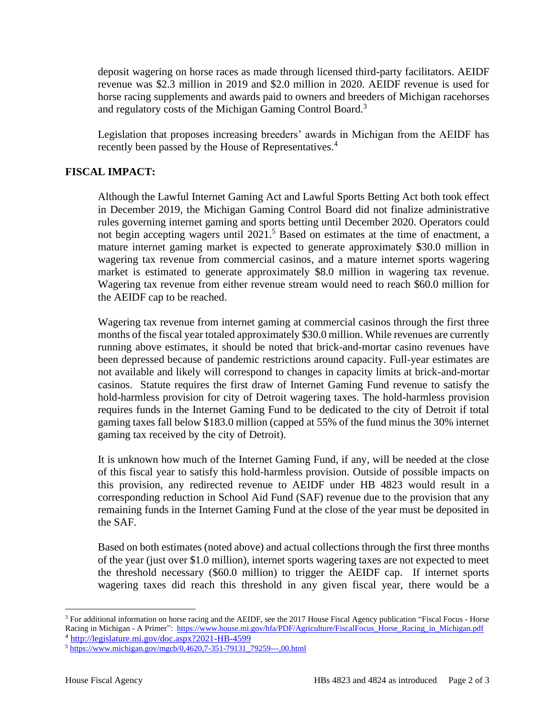deposit wagering on horse races as made through licensed third-party facilitators. AEIDF revenue was \$2.3 million in 2019 and \$2.0 million in 2020. AEIDF revenue is used for horse racing supplements and awards paid to owners and breeders of Michigan racehorses and regulatory costs of the Michigan Gaming Control Board.<sup>3</sup>

Legislation that proposes increasing breeders' awards in Michigan from the AEIDF has recently been passed by the House of Representatives. 4

## **FISCAL IMPACT:**

Although the Lawful Internet Gaming Act and Lawful Sports Betting Act both took effect in December 2019, the Michigan Gaming Control Board did not finalize administrative rules governing internet gaming and sports betting until December 2020. Operators could not begin accepting wagers until 2021.<sup>5</sup> Based on estimates at the time of enactment, a mature internet gaming market is expected to generate approximately \$30.0 million in wagering tax revenue from commercial casinos, and a mature internet sports wagering market is estimated to generate approximately \$8.0 million in wagering tax revenue. Wagering tax revenue from either revenue stream would need to reach \$60.0 million for the AEIDF cap to be reached.

Wagering tax revenue from internet gaming at commercial casinos through the first three months of the fiscal year totaled approximately \$30.0 million. While revenues are currently running above estimates, it should be noted that brick-and-mortar casino revenues have been depressed because of pandemic restrictions around capacity. Full-year estimates are not available and likely will correspond to changes in capacity limits at brick-and-mortar casinos. Statute requires the first draw of Internet Gaming Fund revenue to satisfy the hold-harmless provision for city of Detroit wagering taxes. The hold-harmless provision requires funds in the Internet Gaming Fund to be dedicated to the city of Detroit if total gaming taxes fall below \$183.0 million (capped at 55% of the fund minus the 30% internet gaming tax received by the city of Detroit).

It is unknown how much of the Internet Gaming Fund, if any, will be needed at the close of this fiscal year to satisfy this hold-harmless provision. Outside of possible impacts on this provision, any redirected revenue to AEIDF under HB 4823 would result in a corresponding reduction in School Aid Fund (SAF) revenue due to the provision that any remaining funds in the Internet Gaming Fund at the close of the year must be deposited in the SAF.

Based on both estimates (noted above) and actual collections through the first three months of the year (just over \$1.0 million), internet sports wagering taxes are not expected to meet the threshold necessary (\$60.0 million) to trigger the AEIDF cap. If internet sports wagering taxes did reach this threshold in any given fiscal year, there would be a

<sup>&</sup>lt;sup>3</sup> For additional information on horse racing and the AEIDF, see the 2017 House Fiscal Agency publication "Fiscal Focus - Horse Racing in Michigan - A Primer": [https://www.house.mi.gov/hfa/PDF/Agriculture/FiscalFocus\\_Horse\\_Racing\\_in\\_Michigan.pdf](https://www.house.mi.gov/hfa/PDF/Agriculture/FiscalFocus_Horse_Racing_in_Michigan.pdf) <sup>4</sup> <http://legislature.mi.gov/doc.aspx?2021-HB-4599>

<sup>5</sup> [https://www.michigan.gov/mgcb/0,4620,7-351-79131\\_79259---,00.html](https://www.michigan.gov/mgcb/0,4620,7-351-79131_79259---,00.html)